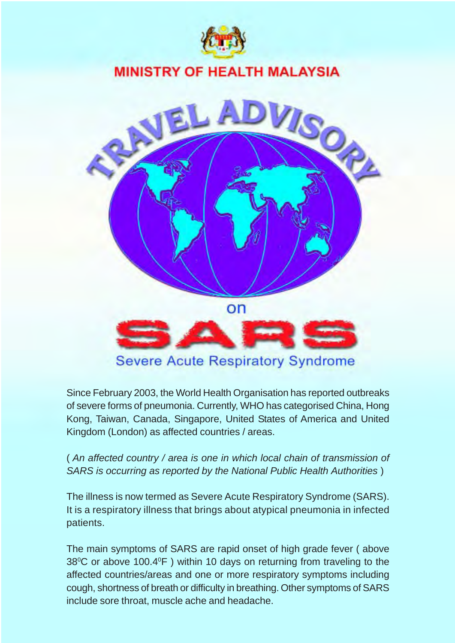

## **MINISTRY OF HEALTH MALAYSIA**



Since February 2003, the World Health Organisation has reported outbreaks of severe forms of pneumonia. Currently, WHO has categorised China, Hong Kong, Taiwan, Canada, Singapore, United States of America and United Kingdom (London) as affected countries / areas.

( *An affected country / area is one in which local chain of transmission of SARS is occurring as reported by the National Public Health Authorities* )

The illness is now termed as Severe Acute Respiratory Syndrome (SARS). It is a respiratory illness that brings about atypical pneumonia in infected patients.

The main symptoms of SARS are rapid onset of high grade fever ( above  $38^{\circ}$ C or above 100.4 $^{\circ}$ F) within 10 days on returning from traveling to the affected countries/areas and one or more respiratory symptoms including cough, shortness of breath or difficulty in breathing. Other symptoms of SARS include sore throat, muscle ache and headache.